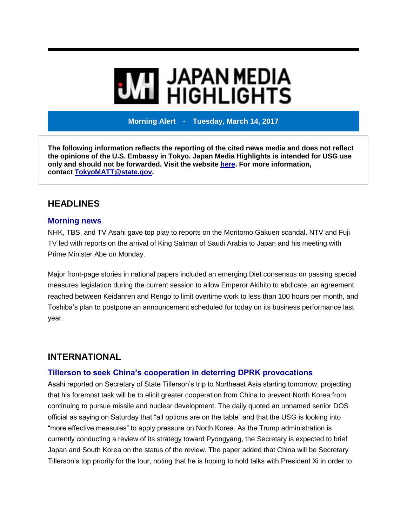# **THE JAPAN MEDIA<br>ALL HIGHLIGHTS**

**Morning Alert - Tuesday, March 14, 2017**

**The following information reflects the reporting of the cited news media and does not reflect the opinions of the U.S. Embassy in Tokyo. Japan Media Highlights is intended for USG use only and should not be forwarded. Visit the website [here.](https://jmh.usembassy.gov/) For more information, contact [TokyoMATT@state.gov.](mailto:TokyoMATT@state.gov)**

# **HEADLINES**

## **Morning news**

NHK, TBS, and TV Asahi gave top play to reports on the Moritomo Gakuen scandal. NTV and Fuji TV led with reports on the arrival of King Salman of Saudi Arabia to Japan and his meeting with Prime Minister Abe on Monday.

Major front-page stories in national papers included an emerging Diet consensus on passing special measures legislation during the current session to allow Emperor Akihito to abdicate, an agreement reached between Keidanren and Rengo to limit overtime work to less than 100 hours per month, and Toshiba's plan to postpone an announcement scheduled for today on its business performance last year.

# **INTERNATIONAL**

## **Tillerson to seek China's cooperation in deterring DPRK provocations**

Asahi reported on Secretary of State Tillerson's trip to Northeast Asia starting tomorrow, projecting that his foremost task will be to elicit greater cooperation from China to prevent North Korea from continuing to pursue missile and nuclear development. The daily quoted an unnamed senior DOS official as saying on Saturday that "all options are on the table" and that the USG is looking into "more effective measures" to apply pressure on North Korea. As the Trump administration is currently conducting a review of its strategy toward Pyongyang, the Secretary is expected to brief Japan and South Korea on the status of the review. The paper added that China will be Secretary Tillerson's top priority for the tour, noting that he is hoping to hold talks with President Xi in order to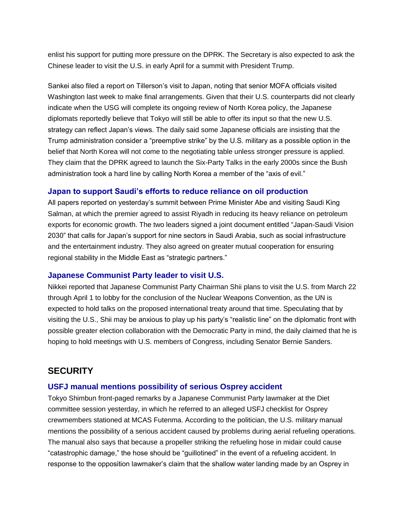enlist his support for putting more pressure on the DPRK. The Secretary is also expected to ask the Chinese leader to visit the U.S. in early April for a summit with President Trump.

Sankei also filed a report on Tillerson's visit to Japan, noting that senior MOFA officials visited Washington last week to make final arrangements. Given that their U.S. counterparts did not clearly indicate when the USG will complete its ongoing review of North Korea policy, the Japanese diplomats reportedly believe that Tokyo will still be able to offer its input so that the new U.S. strategy can reflect Japan's views. The daily said some Japanese officials are insisting that the Trump administration consider a "preemptive strike" by the U.S. military as a possible option in the belief that North Korea will not come to the negotiating table unless stronger pressure is applied. They claim that the DPRK agreed to launch the Six-Party Talks in the early 2000s since the Bush administration took a hard line by calling North Korea a member of the "axis of evil."

#### **Japan to support Saudi's efforts to reduce reliance on oil production**

All papers reported on yesterday's summit between Prime Minister Abe and visiting Saudi King Salman, at which the premier agreed to assist Riyadh in reducing its heavy reliance on petroleum exports for economic growth. The two leaders signed a joint document entitled "Japan-Saudi Vision 2030" that calls for Japan's support for nine sectors in Saudi Arabia, such as social infrastructure and the entertainment industry. They also agreed on greater mutual cooperation for ensuring regional stability in the Middle East as "strategic partners."

#### **Japanese Communist Party leader to visit U.S.**

Nikkei reported that Japanese Communist Party Chairman Shii plans to visit the U.S. from March 22 through April 1 to lobby for the conclusion of the Nuclear Weapons Convention, as the UN is expected to hold talks on the proposed international treaty around that time. Speculating that by visiting the U.S., Shii may be anxious to play up his party's "realistic line" on the diplomatic front with possible greater election collaboration with the Democratic Party in mind, the daily claimed that he is hoping to hold meetings with U.S. members of Congress, including Senator Bernie Sanders.

# **SECURITY**

#### **USFJ manual mentions possibility of serious Osprey accident**

Tokyo Shimbun front-paged remarks by a Japanese Communist Party lawmaker at the Diet committee session yesterday, in which he referred to an alleged USFJ checklist for Osprey crewmembers stationed at MCAS Futenma. According to the politician, the U.S. military manual mentions the possibility of a serious accident caused by problems during aerial refueling operations. The manual also says that because a propeller striking the refueling hose in midair could cause "catastrophic damage," the hose should be "guillotined" in the event of a refueling accident. In response to the opposition lawmaker's claim that the shallow water landing made by an Osprey in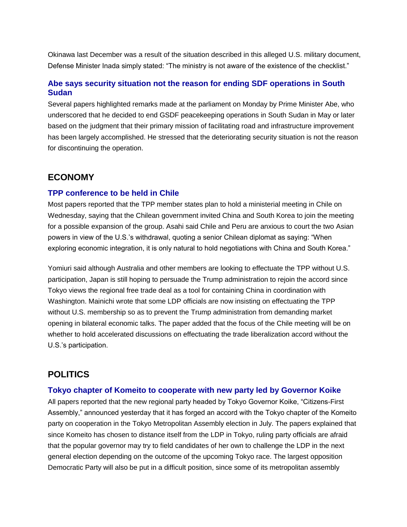Okinawa last December was a result of the situation described in this alleged U.S. military document, Defense Minister Inada simply stated: "The ministry is not aware of the existence of the checklist."

## **Abe says security situation not the reason for ending SDF operations in South Sudan**

Several papers highlighted remarks made at the parliament on Monday by Prime Minister Abe, who underscored that he decided to end GSDF peacekeeping operations in South Sudan in May or later based on the judgment that their primary mission of facilitating road and infrastructure improvement has been largely accomplished. He stressed that the deteriorating security situation is not the reason for discontinuing the operation.

# **ECONOMY**

## **TPP conference to be held in Chile**

Most papers reported that the TPP member states plan to hold a ministerial meeting in Chile on Wednesday, saying that the Chilean government invited China and South Korea to join the meeting for a possible expansion of the group. Asahi said Chile and Peru are anxious to court the two Asian powers in view of the U.S.'s withdrawal, quoting a senior Chilean diplomat as saying: "When exploring economic integration, it is only natural to hold negotiations with China and South Korea."

Yomiuri said although Australia and other members are looking to effectuate the TPP without U.S. participation, Japan is still hoping to persuade the Trump administration to rejoin the accord since Tokyo views the regional free trade deal as a tool for containing China in coordination with Washington. Mainichi wrote that some LDP officials are now insisting on effectuating the TPP without U.S. membership so as to prevent the Trump administration from demanding market opening in bilateral economic talks. The paper added that the focus of the Chile meeting will be on whether to hold accelerated discussions on effectuating the trade liberalization accord without the U.S.'s participation.

# **POLITICS**

## **Tokyo chapter of Komeito to cooperate with new party led by Governor Koike**

All papers reported that the new regional party headed by Tokyo Governor Koike, "Citizens-First Assembly," announced yesterday that it has forged an accord with the Tokyo chapter of the Komeito party on cooperation in the Tokyo Metropolitan Assembly election in July. The papers explained that since Komeito has chosen to distance itself from the LDP in Tokyo, ruling party officials are afraid that the popular governor may try to field candidates of her own to challenge the LDP in the next general election depending on the outcome of the upcoming Tokyo race. The largest opposition Democratic Party will also be put in a difficult position, since some of its metropolitan assembly